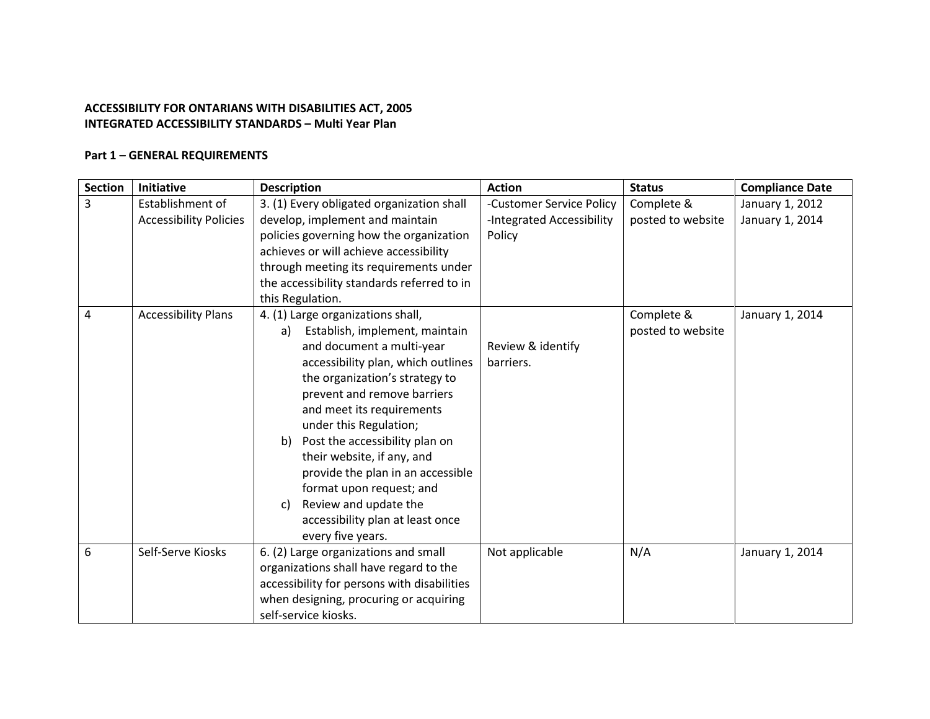## **ACCESSIBILITY FOR ONTARIANS WITH DISABILITIES ACT, 2005 INTEGRATED ACCESSIBILITY STANDARDS – Multi Year Plan**

## **Part 1 – GENERAL REQUIREMENTS**

| <b>Section</b> | <b>Initiative</b>             | <b>Description</b>                          | <b>Action</b>             | <b>Status</b>     | <b>Compliance Date</b> |
|----------------|-------------------------------|---------------------------------------------|---------------------------|-------------------|------------------------|
| $\overline{3}$ | Establishment of              | 3. (1) Every obligated organization shall   | -Customer Service Policy  | Complete &        | January 1, 2012        |
|                | <b>Accessibility Policies</b> | develop, implement and maintain             | -Integrated Accessibility | posted to website | January 1, 2014        |
|                |                               | policies governing how the organization     | Policy                    |                   |                        |
|                |                               | achieves or will achieve accessibility      |                           |                   |                        |
|                |                               | through meeting its requirements under      |                           |                   |                        |
|                |                               | the accessibility standards referred to in  |                           |                   |                        |
|                |                               | this Regulation.                            |                           |                   |                        |
| 4              | <b>Accessibility Plans</b>    | 4. (1) Large organizations shall,           |                           | Complete &        | January 1, 2014        |
|                |                               | Establish, implement, maintain<br>a)        |                           | posted to website |                        |
|                |                               | and document a multi-year                   | Review & identify         |                   |                        |
|                |                               | accessibility plan, which outlines          | barriers.                 |                   |                        |
|                |                               | the organization's strategy to              |                           |                   |                        |
|                |                               | prevent and remove barriers                 |                           |                   |                        |
|                |                               | and meet its requirements                   |                           |                   |                        |
|                |                               | under this Regulation;                      |                           |                   |                        |
|                |                               | Post the accessibility plan on<br>b)        |                           |                   |                        |
|                |                               | their website, if any, and                  |                           |                   |                        |
|                |                               | provide the plan in an accessible           |                           |                   |                        |
|                |                               | format upon request; and                    |                           |                   |                        |
|                |                               | Review and update the<br>C)                 |                           |                   |                        |
|                |                               | accessibility plan at least once            |                           |                   |                        |
|                |                               | every five years.                           |                           |                   |                        |
| 6              | Self-Serve Kiosks             | 6. (2) Large organizations and small        | Not applicable            | N/A               | January 1, 2014        |
|                |                               | organizations shall have regard to the      |                           |                   |                        |
|                |                               | accessibility for persons with disabilities |                           |                   |                        |
|                |                               | when designing, procuring or acquiring      |                           |                   |                        |
|                |                               | self-service kiosks.                        |                           |                   |                        |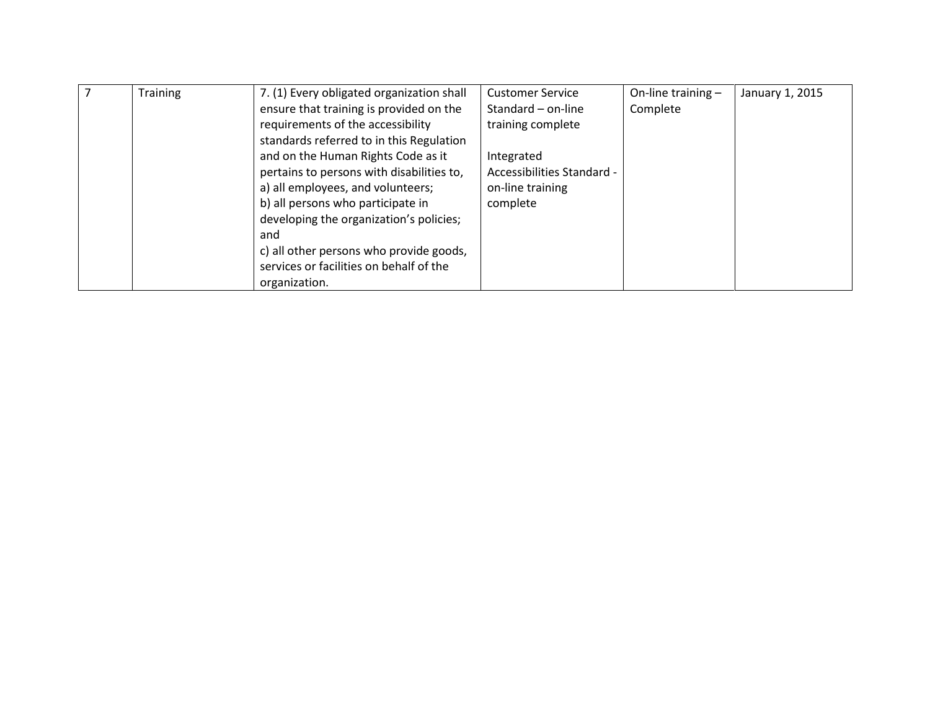| <b>Training</b> | 7. (1) Every obligated organization shall | <b>Customer Service</b>    | On-line training - | January 1, 2015 |
|-----------------|-------------------------------------------|----------------------------|--------------------|-----------------|
|                 | ensure that training is provided on the   | Standard - on-line         | Complete           |                 |
|                 | requirements of the accessibility         | training complete          |                    |                 |
|                 | standards referred to in this Regulation  |                            |                    |                 |
|                 | and on the Human Rights Code as it        | Integrated                 |                    |                 |
|                 | pertains to persons with disabilities to, | Accessibilities Standard - |                    |                 |
|                 | a) all employees, and volunteers;         | on-line training           |                    |                 |
|                 | b) all persons who participate in         | complete                   |                    |                 |
|                 | developing the organization's policies;   |                            |                    |                 |
|                 | and                                       |                            |                    |                 |
|                 | c) all other persons who provide goods,   |                            |                    |                 |
|                 | services or facilities on behalf of the   |                            |                    |                 |
|                 | organization.                             |                            |                    |                 |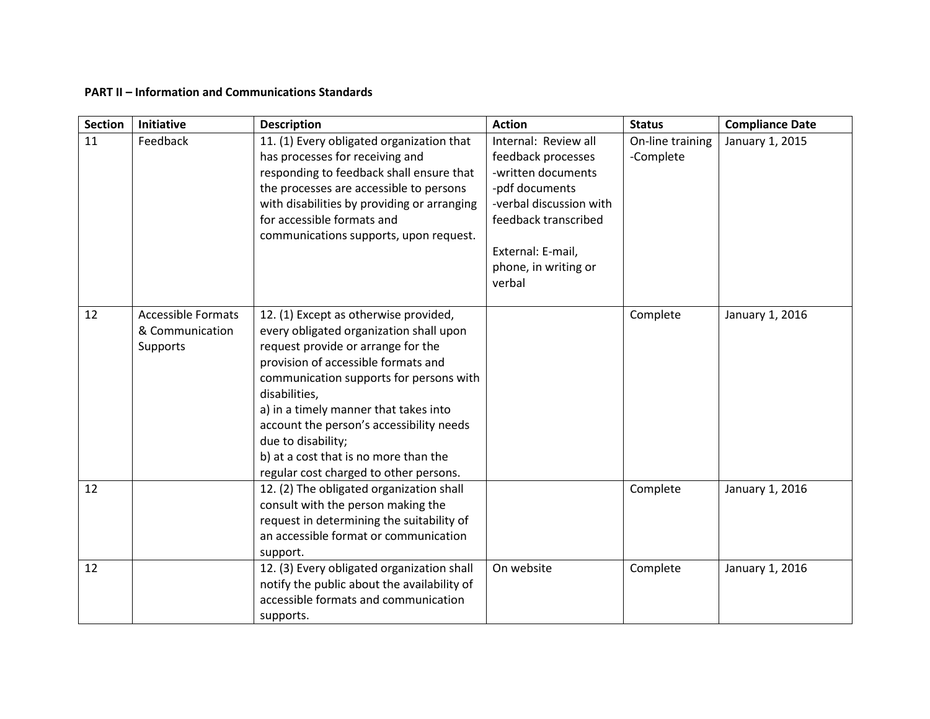## **PART II – Information and Communications Standards**

| <b>Section</b> | Initiative                                                      | <b>Description</b>                                                                                                                                                                                                                                                                                                                                                                                                      | <b>Action</b>                                                                                                                                                                                | <b>Status</b>                 | <b>Compliance Date</b> |
|----------------|-----------------------------------------------------------------|-------------------------------------------------------------------------------------------------------------------------------------------------------------------------------------------------------------------------------------------------------------------------------------------------------------------------------------------------------------------------------------------------------------------------|----------------------------------------------------------------------------------------------------------------------------------------------------------------------------------------------|-------------------------------|------------------------|
| 11             | Feedback                                                        | 11. (1) Every obligated organization that<br>has processes for receiving and<br>responding to feedback shall ensure that<br>the processes are accessible to persons<br>with disabilities by providing or arranging<br>for accessible formats and<br>communications supports, upon request.                                                                                                                              | Internal: Review all<br>feedback processes<br>-written documents<br>-pdf documents<br>-verbal discussion with<br>feedback transcribed<br>External: E-mail,<br>phone, in writing or<br>verbal | On-line training<br>-Complete | January 1, 2015        |
| 12             | <b>Accessible Formats</b><br>& Communication<br><b>Supports</b> | 12. (1) Except as otherwise provided,<br>every obligated organization shall upon<br>request provide or arrange for the<br>provision of accessible formats and<br>communication supports for persons with<br>disabilities,<br>a) in a timely manner that takes into<br>account the person's accessibility needs<br>due to disability;<br>b) at a cost that is no more than the<br>regular cost charged to other persons. |                                                                                                                                                                                              | Complete                      | January 1, 2016        |
| 12             |                                                                 | 12. (2) The obligated organization shall<br>consult with the person making the<br>request in determining the suitability of<br>an accessible format or communication<br>support.                                                                                                                                                                                                                                        |                                                                                                                                                                                              | Complete                      | January 1, 2016        |
| 12             |                                                                 | 12. (3) Every obligated organization shall<br>notify the public about the availability of<br>accessible formats and communication<br>supports.                                                                                                                                                                                                                                                                          | On website                                                                                                                                                                                   | Complete                      | January 1, 2016        |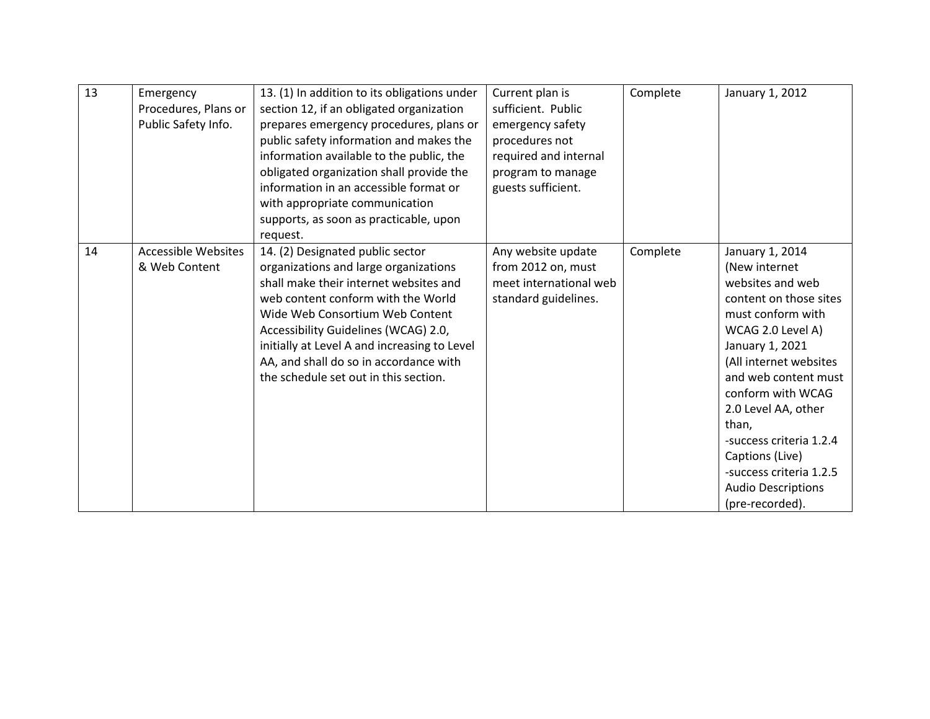| 13 | Emergency<br>Procedures, Plans or<br>Public Safety Info. | 13. (1) In addition to its obligations under<br>section 12, if an obligated organization<br>prepares emergency procedures, plans or<br>public safety information and makes the<br>information available to the public, the<br>obligated organization shall provide the<br>information in an accessible format or<br>with appropriate communication<br>supports, as soon as practicable, upon<br>request. | Current plan is<br>sufficient. Public<br>emergency safety<br>procedures not<br>required and internal<br>program to manage<br>guests sufficient. | Complete | January 1, 2012                                                                                                                                                                                                                                                                                                                                                             |
|----|----------------------------------------------------------|----------------------------------------------------------------------------------------------------------------------------------------------------------------------------------------------------------------------------------------------------------------------------------------------------------------------------------------------------------------------------------------------------------|-------------------------------------------------------------------------------------------------------------------------------------------------|----------|-----------------------------------------------------------------------------------------------------------------------------------------------------------------------------------------------------------------------------------------------------------------------------------------------------------------------------------------------------------------------------|
| 14 | <b>Accessible Websites</b><br>& Web Content              | 14. (2) Designated public sector<br>organizations and large organizations<br>shall make their internet websites and<br>web content conform with the World<br>Wide Web Consortium Web Content<br>Accessibility Guidelines (WCAG) 2.0,<br>initially at Level A and increasing to Level<br>AA, and shall do so in accordance with<br>the schedule set out in this section.                                  | Any website update<br>from 2012 on, must<br>meet international web<br>standard guidelines.                                                      | Complete | January 1, 2014<br>(New internet<br>websites and web<br>content on those sites<br>must conform with<br>WCAG 2.0 Level A)<br>January 1, 2021<br>(All internet websites<br>and web content must<br>conform with WCAG<br>2.0 Level AA, other<br>than,<br>-success criteria 1.2.4<br>Captions (Live)<br>-success criteria 1.2.5<br><b>Audio Descriptions</b><br>(pre-recorded). |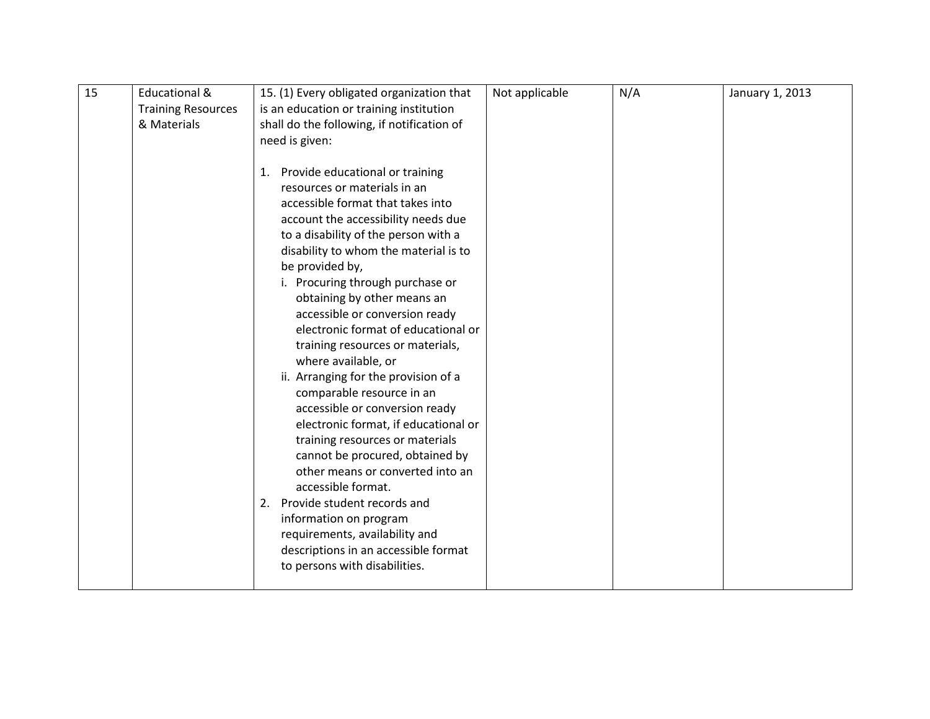| 15 | <b>Educational &amp;</b>  | 15. (1) Every obligated organization that  | Not applicable | N/A | January 1, 2013 |
|----|---------------------------|--------------------------------------------|----------------|-----|-----------------|
|    | <b>Training Resources</b> | is an education or training institution    |                |     |                 |
|    | & Materials               | shall do the following, if notification of |                |     |                 |
|    |                           | need is given:                             |                |     |                 |
|    |                           |                                            |                |     |                 |
|    |                           | 1. Provide educational or training         |                |     |                 |
|    |                           | resources or materials in an               |                |     |                 |
|    |                           | accessible format that takes into          |                |     |                 |
|    |                           | account the accessibility needs due        |                |     |                 |
|    |                           | to a disability of the person with a       |                |     |                 |
|    |                           | disability to whom the material is to      |                |     |                 |
|    |                           | be provided by,                            |                |     |                 |
|    |                           | i. Procuring through purchase or           |                |     |                 |
|    |                           | obtaining by other means an                |                |     |                 |
|    |                           | accessible or conversion ready             |                |     |                 |
|    |                           | electronic format of educational or        |                |     |                 |
|    |                           | training resources or materials,           |                |     |                 |
|    |                           | where available, or                        |                |     |                 |
|    |                           | ii. Arranging for the provision of a       |                |     |                 |
|    |                           | comparable resource in an                  |                |     |                 |
|    |                           | accessible or conversion ready             |                |     |                 |
|    |                           | electronic format, if educational or       |                |     |                 |
|    |                           | training resources or materials            |                |     |                 |
|    |                           | cannot be procured, obtained by            |                |     |                 |
|    |                           | other means or converted into an           |                |     |                 |
|    |                           | accessible format.                         |                |     |                 |
|    |                           | 2. Provide student records and             |                |     |                 |
|    |                           | information on program                     |                |     |                 |
|    |                           | requirements, availability and             |                |     |                 |
|    |                           | descriptions in an accessible format       |                |     |                 |
|    |                           | to persons with disabilities.              |                |     |                 |
|    |                           |                                            |                |     |                 |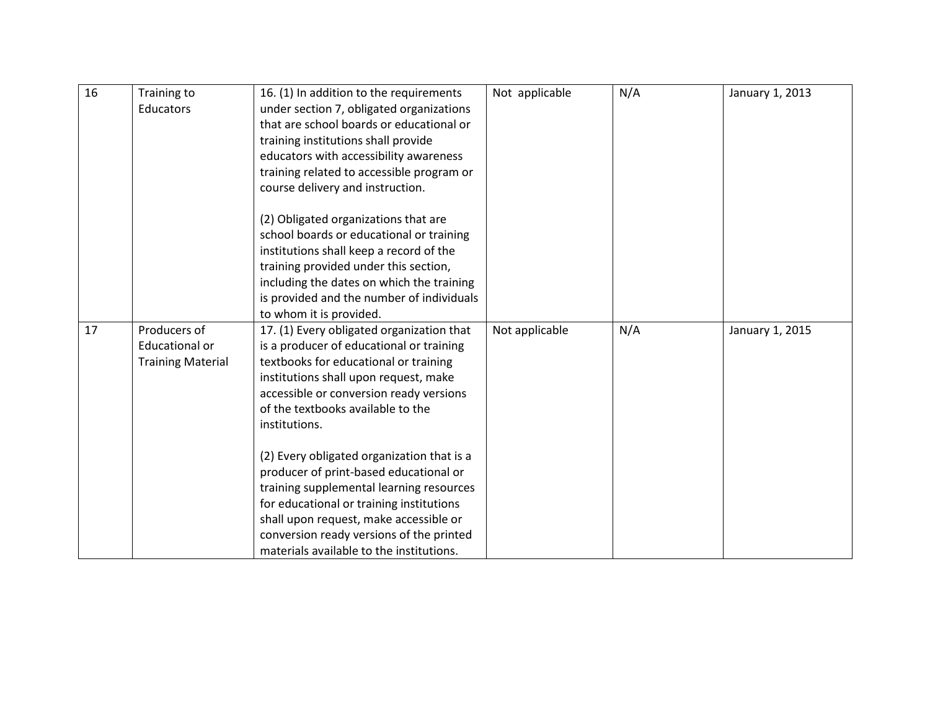| 16 | Training to              | 16. (1) In addition to the requirements    | Not applicable | N/A | January 1, 2013 |
|----|--------------------------|--------------------------------------------|----------------|-----|-----------------|
|    | Educators                | under section 7, obligated organizations   |                |     |                 |
|    |                          | that are school boards or educational or   |                |     |                 |
|    |                          | training institutions shall provide        |                |     |                 |
|    |                          | educators with accessibility awareness     |                |     |                 |
|    |                          | training related to accessible program or  |                |     |                 |
|    |                          | course delivery and instruction.           |                |     |                 |
|    |                          |                                            |                |     |                 |
|    |                          | (2) Obligated organizations that are       |                |     |                 |
|    |                          | school boards or educational or training   |                |     |                 |
|    |                          | institutions shall keep a record of the    |                |     |                 |
|    |                          | training provided under this section,      |                |     |                 |
|    |                          | including the dates on which the training  |                |     |                 |
|    |                          | is provided and the number of individuals  |                |     |                 |
|    |                          | to whom it is provided.                    |                |     |                 |
| 17 | Producers of             | 17. (1) Every obligated organization that  | Not applicable | N/A | January 1, 2015 |
|    | <b>Educational or</b>    | is a producer of educational or training   |                |     |                 |
|    | <b>Training Material</b> | textbooks for educational or training      |                |     |                 |
|    |                          | institutions shall upon request, make      |                |     |                 |
|    |                          | accessible or conversion ready versions    |                |     |                 |
|    |                          | of the textbooks available to the          |                |     |                 |
|    |                          | institutions.                              |                |     |                 |
|    |                          |                                            |                |     |                 |
|    |                          | (2) Every obligated organization that is a |                |     |                 |
|    |                          | producer of print-based educational or     |                |     |                 |
|    |                          | training supplemental learning resources   |                |     |                 |
|    |                          | for educational or training institutions   |                |     |                 |
|    |                          | shall upon request, make accessible or     |                |     |                 |
|    |                          |                                            |                |     |                 |
|    |                          | conversion ready versions of the printed   |                |     |                 |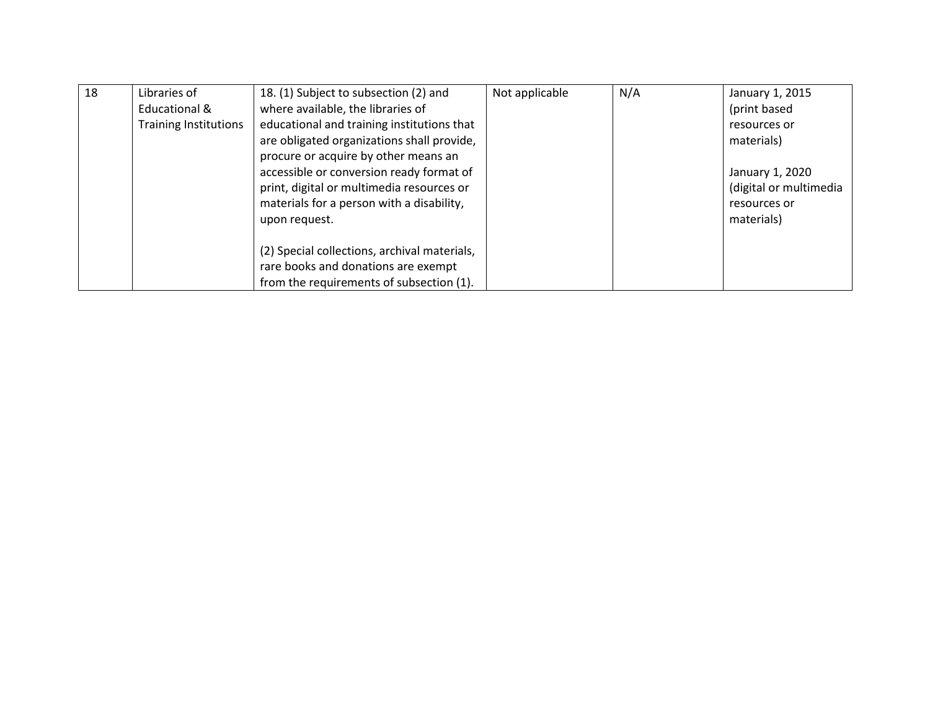| 18 | Libraries of                 | 18. (1) Subject to subsection (2) and        | Not applicable | N/A | January 1, 2015        |
|----|------------------------------|----------------------------------------------|----------------|-----|------------------------|
|    | Educational &                | where available, the libraries of            |                |     | (print based           |
|    | <b>Training Institutions</b> | educational and training institutions that   |                |     | resources or           |
|    |                              | are obligated organizations shall provide,   |                |     | materials)             |
|    |                              | procure or acquire by other means an         |                |     |                        |
|    |                              | accessible or conversion ready format of     |                |     | January 1, 2020        |
|    |                              | print, digital or multimedia resources or    |                |     | (digital or multimedia |
|    |                              | materials for a person with a disability,    |                |     | resources or           |
|    |                              | upon request.                                |                |     | materials)             |
|    |                              |                                              |                |     |                        |
|    |                              | (2) Special collections, archival materials, |                |     |                        |
|    |                              | rare books and donations are exempt          |                |     |                        |
|    |                              | from the requirements of subsection (1).     |                |     |                        |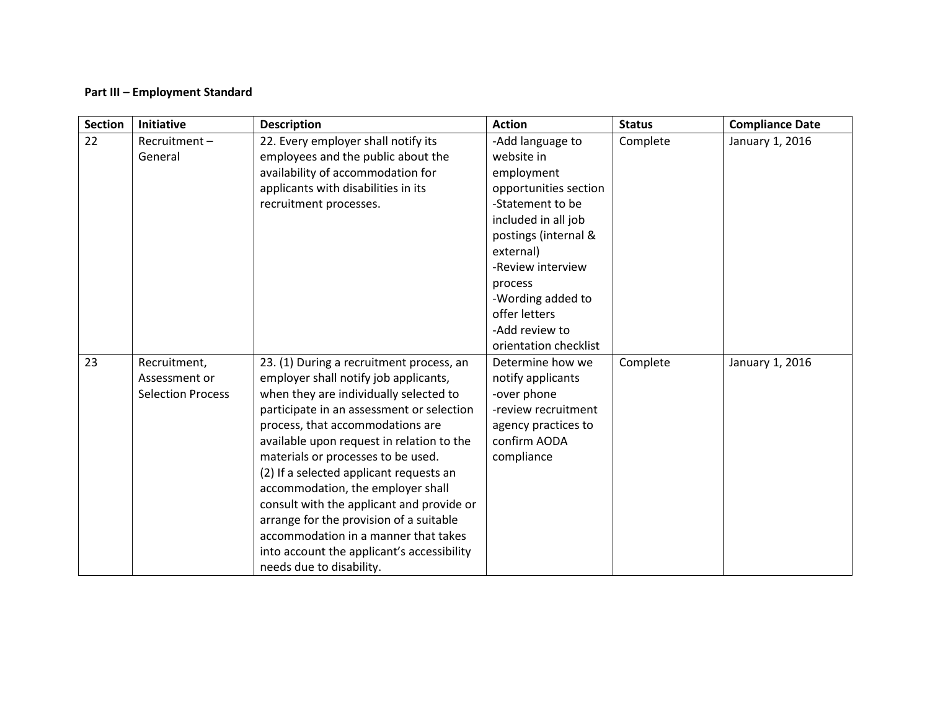## **Part III – Employment Standard**

| <b>Section</b> | Initiative                                                | <b>Description</b>                                                                                                                                                                                                                                                                                                                                                                                                                                                                                                                                                                        | <b>Action</b>                                                                                                                                                                                                                                                          | <b>Status</b> | <b>Compliance Date</b> |
|----------------|-----------------------------------------------------------|-------------------------------------------------------------------------------------------------------------------------------------------------------------------------------------------------------------------------------------------------------------------------------------------------------------------------------------------------------------------------------------------------------------------------------------------------------------------------------------------------------------------------------------------------------------------------------------------|------------------------------------------------------------------------------------------------------------------------------------------------------------------------------------------------------------------------------------------------------------------------|---------------|------------------------|
| 22             | Recruitment-<br>General                                   | 22. Every employer shall notify its<br>employees and the public about the<br>availability of accommodation for<br>applicants with disabilities in its<br>recruitment processes.                                                                                                                                                                                                                                                                                                                                                                                                           | -Add language to<br>website in<br>employment<br>opportunities section<br>-Statement to be<br>included in all job<br>postings (internal &<br>external)<br>-Review interview<br>process<br>-Wording added to<br>offer letters<br>-Add review to<br>orientation checklist | Complete      | January 1, 2016        |
| 23             | Recruitment,<br>Assessment or<br><b>Selection Process</b> | 23. (1) During a recruitment process, an<br>employer shall notify job applicants,<br>when they are individually selected to<br>participate in an assessment or selection<br>process, that accommodations are<br>available upon request in relation to the<br>materials or processes to be used.<br>(2) If a selected applicant requests an<br>accommodation, the employer shall<br>consult with the applicant and provide or<br>arrange for the provision of a suitable<br>accommodation in a manner that takes<br>into account the applicant's accessibility<br>needs due to disability. | Determine how we<br>notify applicants<br>-over phone<br>-review recruitment<br>agency practices to<br>confirm AODA<br>compliance                                                                                                                                       | Complete      | January 1, 2016        |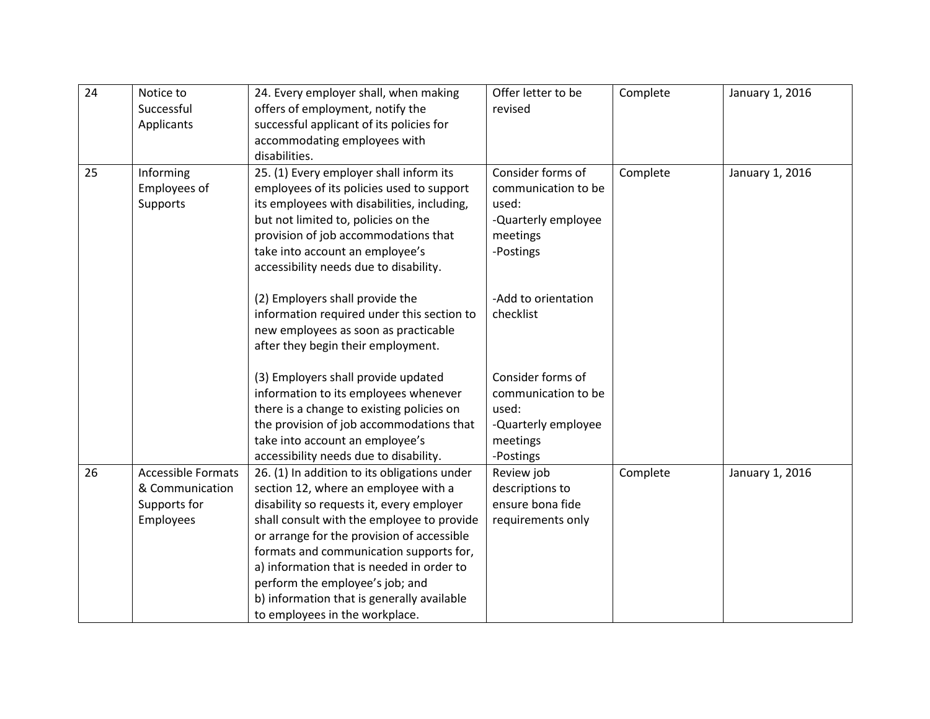| 24 | Notice to                 | 24. Every employer shall, when making        | Offer letter to be  | Complete | January 1, 2016 |
|----|---------------------------|----------------------------------------------|---------------------|----------|-----------------|
|    | Successful                | offers of employment, notify the             | revised             |          |                 |
|    | Applicants                | successful applicant of its policies for     |                     |          |                 |
|    |                           | accommodating employees with                 |                     |          |                 |
|    |                           | disabilities.                                |                     |          |                 |
| 25 | Informing                 | 25. (1) Every employer shall inform its      | Consider forms of   | Complete | January 1, 2016 |
|    | Employees of              | employees of its policies used to support    | communication to be |          |                 |
|    | Supports                  | its employees with disabilities, including,  | used:               |          |                 |
|    |                           | but not limited to, policies on the          | -Quarterly employee |          |                 |
|    |                           | provision of job accommodations that         | meetings            |          |                 |
|    |                           | take into account an employee's              | -Postings           |          |                 |
|    |                           | accessibility needs due to disability.       |                     |          |                 |
|    |                           | (2) Employers shall provide the              | -Add to orientation |          |                 |
|    |                           | information required under this section to   | checklist           |          |                 |
|    |                           | new employees as soon as practicable         |                     |          |                 |
|    |                           | after they begin their employment.           |                     |          |                 |
|    |                           |                                              |                     |          |                 |
|    |                           | (3) Employers shall provide updated          | Consider forms of   |          |                 |
|    |                           | information to its employees whenever        | communication to be |          |                 |
|    |                           | there is a change to existing policies on    | used:               |          |                 |
|    |                           | the provision of job accommodations that     | -Quarterly employee |          |                 |
|    |                           | take into account an employee's              | meetings            |          |                 |
|    |                           | accessibility needs due to disability.       | -Postings           |          |                 |
| 26 | <b>Accessible Formats</b> | 26. (1) In addition to its obligations under | Review job          | Complete | January 1, 2016 |
|    | & Communication           | section 12, where an employee with a         | descriptions to     |          |                 |
|    | Supports for              | disability so requests it, every employer    | ensure bona fide    |          |                 |
|    | Employees                 | shall consult with the employee to provide   | requirements only   |          |                 |
|    |                           | or arrange for the provision of accessible   |                     |          |                 |
|    |                           | formats and communication supports for,      |                     |          |                 |
|    |                           | a) information that is needed in order to    |                     |          |                 |
|    |                           | perform the employee's job; and              |                     |          |                 |
|    |                           | b) information that is generally available   |                     |          |                 |
|    |                           | to employees in the workplace.               |                     |          |                 |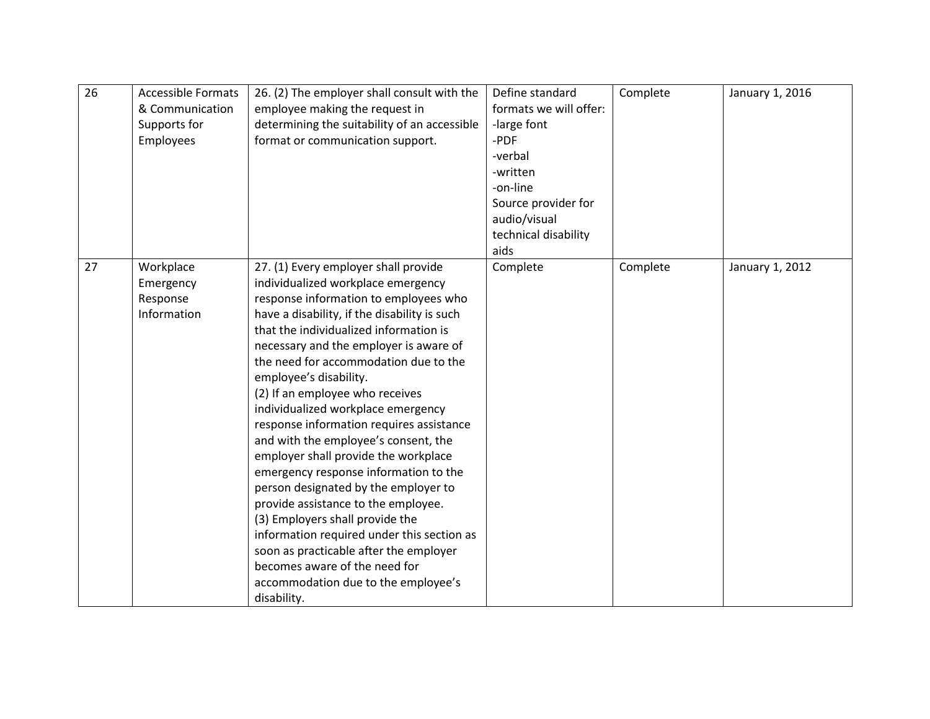| 26 | <b>Accessible Formats</b><br>& Communication<br>Supports for<br>Employees | 26. (2) The employer shall consult with the<br>employee making the request in<br>determining the suitability of an accessible<br>format or communication support.                                                                                                                                                                                                                                                                                                                                                                                                                                                                                                                                                                                                                                                                                                         | Define standard<br>formats we will offer:<br>-large font<br>-PDF<br>-verbal<br>-written<br>-on-line<br>Source provider for | Complete | January 1, 2016 |
|----|---------------------------------------------------------------------------|---------------------------------------------------------------------------------------------------------------------------------------------------------------------------------------------------------------------------------------------------------------------------------------------------------------------------------------------------------------------------------------------------------------------------------------------------------------------------------------------------------------------------------------------------------------------------------------------------------------------------------------------------------------------------------------------------------------------------------------------------------------------------------------------------------------------------------------------------------------------------|----------------------------------------------------------------------------------------------------------------------------|----------|-----------------|
|    |                                                                           |                                                                                                                                                                                                                                                                                                                                                                                                                                                                                                                                                                                                                                                                                                                                                                                                                                                                           | audio/visual<br>technical disability<br>aids                                                                               |          |                 |
| 27 | Workplace<br>Emergency<br>Response<br>Information                         | 27. (1) Every employer shall provide<br>individualized workplace emergency<br>response information to employees who<br>have a disability, if the disability is such<br>that the individualized information is<br>necessary and the employer is aware of<br>the need for accommodation due to the<br>employee's disability.<br>(2) If an employee who receives<br>individualized workplace emergency<br>response information requires assistance<br>and with the employee's consent, the<br>employer shall provide the workplace<br>emergency response information to the<br>person designated by the employer to<br>provide assistance to the employee.<br>(3) Employers shall provide the<br>information required under this section as<br>soon as practicable after the employer<br>becomes aware of the need for<br>accommodation due to the employee's<br>disability. | Complete                                                                                                                   | Complete | January 1, 2012 |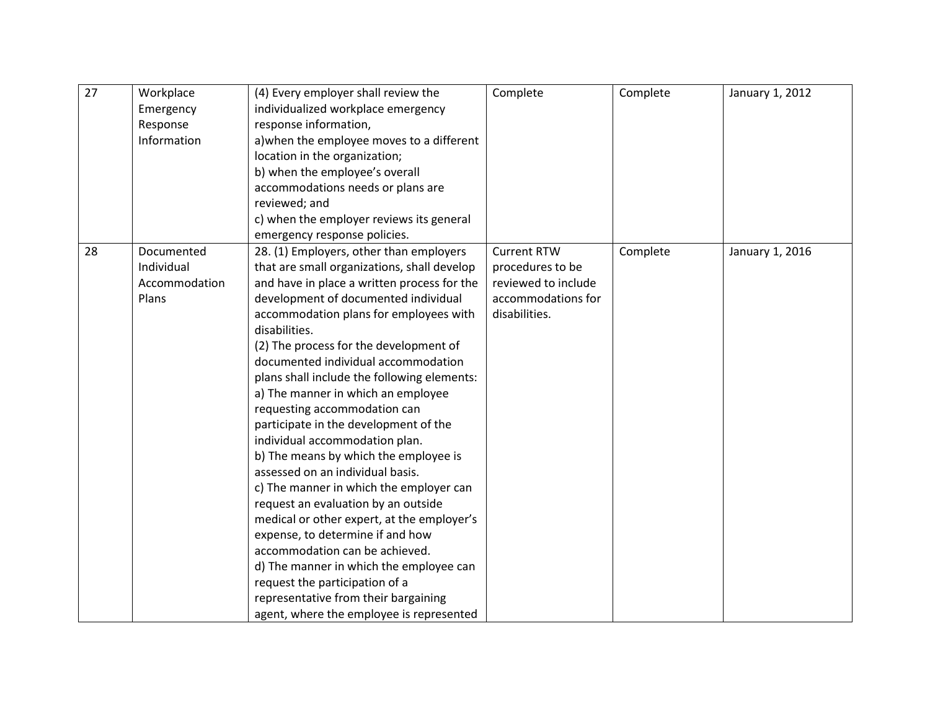| 27 | Workplace<br>Emergency<br>Response<br>Information  | (4) Every employer shall review the<br>individualized workplace emergency<br>response information,<br>a) when the employee moves to a different<br>location in the organization;<br>b) when the employee's overall<br>accommodations needs or plans are                                                                                                                                                                                                                                                                                                                                                                                                                                                                                                                                                                                                                                                                                                                       | Complete                                                                                             | Complete | January 1, 2012 |
|----|----------------------------------------------------|-------------------------------------------------------------------------------------------------------------------------------------------------------------------------------------------------------------------------------------------------------------------------------------------------------------------------------------------------------------------------------------------------------------------------------------------------------------------------------------------------------------------------------------------------------------------------------------------------------------------------------------------------------------------------------------------------------------------------------------------------------------------------------------------------------------------------------------------------------------------------------------------------------------------------------------------------------------------------------|------------------------------------------------------------------------------------------------------|----------|-----------------|
|    |                                                    | reviewed; and<br>c) when the employer reviews its general<br>emergency response policies.                                                                                                                                                                                                                                                                                                                                                                                                                                                                                                                                                                                                                                                                                                                                                                                                                                                                                     |                                                                                                      |          |                 |
| 28 | Documented<br>Individual<br>Accommodation<br>Plans | 28. (1) Employers, other than employers<br>that are small organizations, shall develop<br>and have in place a written process for the<br>development of documented individual<br>accommodation plans for employees with<br>disabilities.<br>(2) The process for the development of<br>documented individual accommodation<br>plans shall include the following elements:<br>a) The manner in which an employee<br>requesting accommodation can<br>participate in the development of the<br>individual accommodation plan.<br>b) The means by which the employee is<br>assessed on an individual basis.<br>c) The manner in which the employer can<br>request an evaluation by an outside<br>medical or other expert, at the employer's<br>expense, to determine if and how<br>accommodation can be achieved.<br>d) The manner in which the employee can<br>request the participation of a<br>representative from their bargaining<br>agent, where the employee is represented | <b>Current RTW</b><br>procedures to be<br>reviewed to include<br>accommodations for<br>disabilities. | Complete | January 1, 2016 |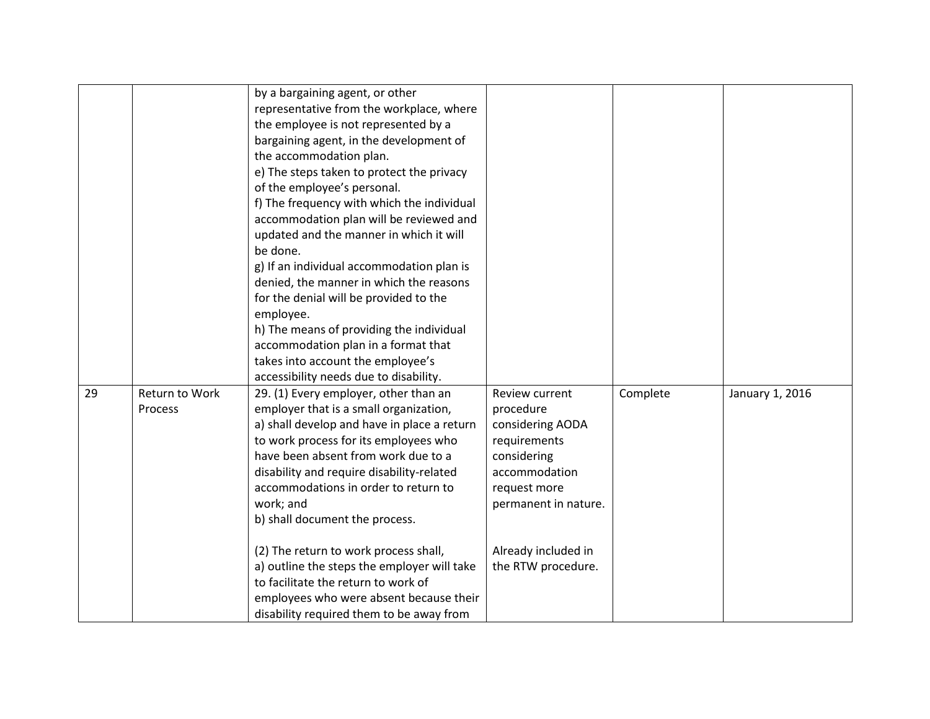|    |                           | by a bargaining agent, or other<br>representative from the workplace, where<br>the employee is not represented by a<br>bargaining agent, in the development of<br>the accommodation plan.<br>e) The steps taken to protect the privacy<br>of the employee's personal.<br>f) The frequency with which the individual<br>accommodation plan will be reviewed and<br>updated and the manner in which it will<br>be done.<br>g) If an individual accommodation plan is<br>denied, the manner in which the reasons<br>for the denial will be provided to the<br>employee.<br>h) The means of providing the individual<br>accommodation plan in a format that<br>takes into account the employee's |                                                                                                                                                                                      |          |                 |
|----|---------------------------|----------------------------------------------------------------------------------------------------------------------------------------------------------------------------------------------------------------------------------------------------------------------------------------------------------------------------------------------------------------------------------------------------------------------------------------------------------------------------------------------------------------------------------------------------------------------------------------------------------------------------------------------------------------------------------------------|--------------------------------------------------------------------------------------------------------------------------------------------------------------------------------------|----------|-----------------|
| 29 | Return to Work<br>Process | accessibility needs due to disability.<br>29. (1) Every employer, other than an<br>employer that is a small organization,<br>a) shall develop and have in place a return<br>to work process for its employees who<br>have been absent from work due to a<br>disability and require disability-related<br>accommodations in order to return to<br>work; and<br>b) shall document the process.<br>(2) The return to work process shall,<br>a) outline the steps the employer will take<br>to facilitate the return to work of<br>employees who were absent because their<br>disability required them to be away from                                                                           | Review current<br>procedure<br>considering AODA<br>requirements<br>considering<br>accommodation<br>request more<br>permanent in nature.<br>Already included in<br>the RTW procedure. | Complete | January 1, 2016 |